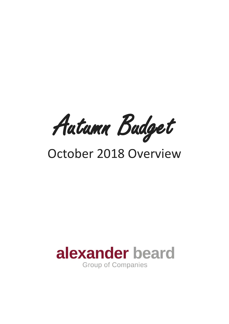Autumn Budget

# October 2018 Overview

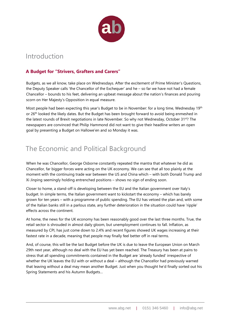

## Introduction

#### **A Budget for "Strivers, Grafters and Carers"**

Budgets, as we all know, take place on Wednesdays. After the excitement of Prime Minister's Questions, the Deputy Speaker calls 'the Chancellor of the Exchequer' and he – so far we have not had a female Chancellor – bounds to his feet, delivering an upbeat message about the nation's finances and pouring scorn on Her Majesty's Opposition in equal measure.

Most people had been expecting this year's Budget to be in November: for a long time, Wednesday 19th or 26<sup>th</sup> looked the likely dates. But the Budget has been brought forward to avoid being enmeshed in the latest rounds of Brexit negotiations in late November. So why not Wednesday, October 31<sup>st?</sup> The newspapers are convinced that Philip Hammond did not want to give their headline writers an open goal by presenting a Budget on Hallowe'en and so Monday it was.

### The Economic and Political Background

When he was Chancellor, George Osborne constantly repeated the mantra that whatever he did as Chancellor, far bigger forces were acting on the UK economy. We can see that all too plainly at the moment with the continuing trade war between the US and China which – with both Donald Trump and Xi Jinping seemingly holding entrenched positions – shows no sign of ending soon.

Closer to home, a stand-off is developing between the EU and the Italian government over Italy's budget. In simple terms, the Italian government want to kickstart the economy – which has barely grown for ten years – with a programme of public spending. The EU has vetoed the plan and, with some of the Italian banks still in a parlous state, any further deterioration in the situation could have 'ripple' effects across the continent.

At home, the news for the UK economy has been reasonably good over the last three months. True, the retail sector is shrouded in almost daily gloom, but unemployment continues to fall. Inflation, as measured by CPI, has just come down to 2.4% and recent figures showed UK wages increasing at their fastest rate in a decade, meaning that people may finally feel better off in real terms.

And, of course, this will be the last Budget before the UK is due to leave the European Union on March 29th next year, although no deal with the EU has yet been reached. The Treasury has been at pains to stress that all spending commitments contained in the Budget are 'already funded' irrespective of whether the UK leaves the EU with or without a deal – although the Chancellor had previously warned that leaving without a deal may mean another Budget. Just when you thought he'd finally sorted out his Spring Statements and his Autumn Budgets…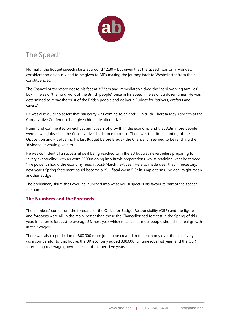

### The Speech

Normally, the Budget speech starts at around 12:30 – but given that the speech was on a Monday, consideration obviously had to be given to MPs making the journey back to Westminster from their constituencies.

The Chancellor therefore got to his feet at 3:33pm and immediately ticked the "hard working families" box. If he said "the hard work of the British people" once in his speech, he said it a dozen times. He was determined to repay the trust of the British people and deliver a Budget for "strivers, grafters and carers."

He was also quick to assert that "austerity was coming to an end" – in truth, Theresa May's speech at the Conservative Conference had given him little alternative.

Hammond commented on eight straight years of growth in the economy and that 3.3m more people were now in jobs since the Conservatives had come to office. There was the ritual taunting of the Opposition and – delivering his last Budget before Brexit - the Chancellor seemed to be relishing the 'dividend' it would give him.

He was confident of a successful deal being reached with the EU but was nevertheless preparing for "every eventuality" with an extra £500m going into Brexit preparations, whilst retaining what he termed "fire power", should the economy need it post-March next year. He also made clear that, if necessary, next year's Spring Statement could become a "full fiscal event." Or in simple terms, 'no deal might mean another Budget.'

The preliminary skirmishes over, he launched into what you suspect is his favourite part of the speech: the numbers.

#### **The Numbers and the Forecasts**

The 'numbers' come from the forecasts of the Office for Budget Responsibility (OBR) and the figures and forecasts were all, in the main, better than those the Chancellor had forecast in the Spring of this year. Inflation is forecast to average 2% next year which means that most people should see real growth in their wages.

There was also a prediction of 800,000 more jobs to be created in the economy over the next five years (as a comparator to that figure, the UK economy added 338,000 full time jobs last year) and the OBR forecasting real wage growth in each of the next five years.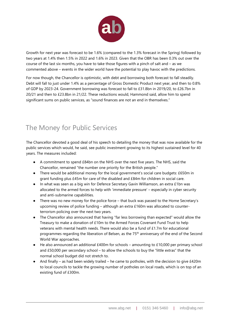

Growth for next year was forecast to be 1.6% (compared to the 1.3% forecast in the Spring) followed by two years at 1.4% then 1.5% in 2022 and 1.6% in 2023. Given that the OBR has been 0.3% out over the course of the last six months, you have to take those figures with a pinch of salt and – as we commented above – events in the wider world have the potential to play havoc with the predictions.

For now though, the Chancellor is optimistic, with debt and borrowing both forecast to fall steadily. Debt will fall to just under 1.4% as a percentage of Gross Domestic Product next year, and then to 0.8% of GDP by 2023-24. Government borrowing was forecast to fall to £31.8bn in 2019/20, to £26.7bn in 20/21 and then to £23.8bn in 21/22. These reductions would, Hammond said, allow him to spend significant sums on public services, as "sound finances are not an end in themselves."

# The Money for Public Services

The Chancellor devoted a good deal of his speech to detailing the money that was now available for the public services which would, he said, see public investment growing to its highest sustained level for 40 years. The measures included:

- A commitment to spend £84bn on the NHS over the next five years. The NHS, said the Chancellor, remained "the number one priority for the British people."
- There would be additional money for the local government's social care budgets: £650m in grant funding plus £45m for care of the disabled and £84m for children in social care.
- In what was seen as a big win for Defence Secretary Gavin Williamson, an extra £1bn was allocated to the armed forces to help with 'immediate pressure' – especially in cyber security and anti-submarine capabilities.
- There was no new money for the police force that buck was passed to the Home Secretary's upcoming review of police funding – although an extra £160m was allocated to counterterrorism policing over the next two years.
- The Chancellor also announced that having "far less borrowing than expected" would allow the Treasury to make a donation of £10m to the Armed Forces Covenant Fund Trust to help veterans with mental health needs. There would also be a fund of £1.7m for educational programmes regarding the liberation of Belsen, as the 75<sup>th</sup> anniversary of the end of the Second World War approaches.
- He also announced an additional £400m for schools amounting to £10,000 per primary school and £50,000 per secondary school – to allow the schools to buy the "little extras" that the normal school budget did not stretch to.
- And finally as had been widely trailed he came to potholes, with the decision to give £420m to local councils to tackle the growing number of potholes on local roads, which is on top of an existing fund of £300m.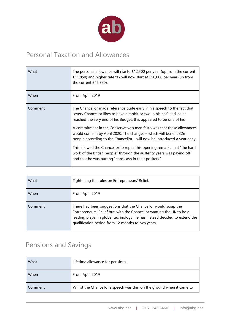

# Personal Taxation and Allowances

| What    | The personal allowance will rise to £12,500 per year (up from the current<br>£11,850) and higher rate tax will now start at £50,000 per year (up from<br>the current £46,350).                                                                                                                                                                                                                                                                                                                                                                                                                                                                                       |
|---------|----------------------------------------------------------------------------------------------------------------------------------------------------------------------------------------------------------------------------------------------------------------------------------------------------------------------------------------------------------------------------------------------------------------------------------------------------------------------------------------------------------------------------------------------------------------------------------------------------------------------------------------------------------------------|
| When    | From April 2019                                                                                                                                                                                                                                                                                                                                                                                                                                                                                                                                                                                                                                                      |
| Comment | The Chancellor made reference quite early in his speech to the fact that<br>"every Chancellor likes to have a rabbit or two in his hat" and, as he<br>reached the very end of his Budget, this appeared to be one of his.<br>A commitment in the Conservative's manifesto was that these allowances<br>would come in by April 2020. The changes – which will benefit 32m<br>people according to the Chancellor – will now be introduced a year early.<br>This allowed the Chancellor to repeat his opening remarks that "the hard<br>work of the British people" through the austerity years was paying off<br>and that he was putting "hard cash in their pockets." |

| What    | Tightening the rules on Entrepreneurs' Relief.                                                                                                                                                                                                                            |
|---------|---------------------------------------------------------------------------------------------------------------------------------------------------------------------------------------------------------------------------------------------------------------------------|
| When    | From April 2019                                                                                                                                                                                                                                                           |
| Comment | There had been suggestions that the Chancellor would scrap the<br>Entrepreneurs' Relief but, with the Chancellor wanting the UK to be a<br>leading player in global technology, he has instead decided to extend the<br>qualification period from 12 months to two years. |

# Pensions and Savings

| What    | Lifetime allowance for pensions.                                      |
|---------|-----------------------------------------------------------------------|
| When    | From April 2019                                                       |
| Comment | Whilst the Chancellor's speech was thin on the ground when it came to |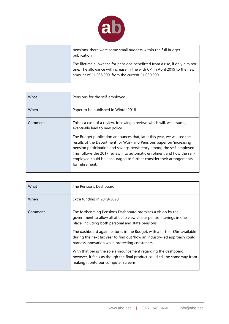

pensions, there were some small nuggets within the full Budget publication.

The lifetime allowance for pensions benefitted from a rise, if only a minor one. The allowance will increase in line with CPI in April 2019 to the new amount of £1,055,000, from the current £1,030,000.

| What    | Pensions for the self-employed.                                                                                                                                                                                                                                                                                                                                                                                                                                                                             |
|---------|-------------------------------------------------------------------------------------------------------------------------------------------------------------------------------------------------------------------------------------------------------------------------------------------------------------------------------------------------------------------------------------------------------------------------------------------------------------------------------------------------------------|
| When    | Paper to be published in Winter 2018                                                                                                                                                                                                                                                                                                                                                                                                                                                                        |
| Comment | This is a case of a review, following a review, which will, we assume,<br>eventually lead to new policy.<br>The Budget publication announces that, later this year, we will see the<br>results of the Department for Work and Pensions paper on 'increasing<br>pension participation and savings persistency among the self-employed'.<br>This follows the 2017 review into automatic enrolment and how the self-<br>employed could be encouraged to further consider their arrangements<br>for retirement. |

| What    | The Pensions Dashboard.                                                                                                                                                                                 |
|---------|---------------------------------------------------------------------------------------------------------------------------------------------------------------------------------------------------------|
| When    | Extra funding in 2019-2020                                                                                                                                                                              |
| Comment | The forthcoming Pensions Dashboard promises a vision by the<br>government to allow all of us to view all our pension savings in one<br>place, including both personal and state pensions.               |
|         | The dashboard again features in the Budget, with a further £5m available<br>during the next tax year to find out 'how an industry-led approach could<br>harness innovation while protecting consumers'. |
|         | With that being the sole announcement regarding the dashboard,<br>however, it feels as though the final product could still be some way from<br>making it onto our computer screens.                    |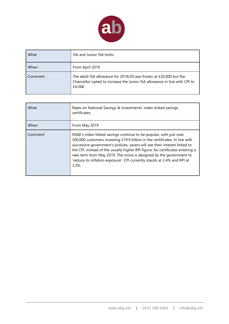

| What    | ISA and Junior ISA limits.                                                                                                                                |
|---------|-----------------------------------------------------------------------------------------------------------------------------------------------------------|
| When    | From April 2019                                                                                                                                           |
| Comment | The adult ISA allowance for 2019/20 was frozen at £20,000 but the<br>Chancellor opted to increase the Junior ISA allowance in line with CPI to<br>£4,368. |

| What    | Rates on National Savings & Investments' index-linked savings<br>certificates.                                                                                                                                                                                                                                                                                                                                                                                                  |
|---------|---------------------------------------------------------------------------------------------------------------------------------------------------------------------------------------------------------------------------------------------------------------------------------------------------------------------------------------------------------------------------------------------------------------------------------------------------------------------------------|
| When    | From May 2019                                                                                                                                                                                                                                                                                                                                                                                                                                                                   |
| Comment | NS&I's index-linked savings continue to be popular, with just over<br>500,000 customers investing £19.9 billion in the certificates. In line with<br>successive government's policies, savers will see their interest linked to<br>the CPI, instead of the usually higher RPI figure, for certificates entering a<br>new term from May 2019. The move is designed by the government to<br>'reduce its inflation exposure'. CPI currently stands at 2.4% and RPI at<br>$3.3\%$ . |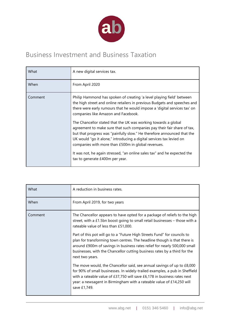

# Business Investment and Business Taxation

| What    | A new digital services tax.                                                                                                                                                                                                                                                                                                                        |
|---------|----------------------------------------------------------------------------------------------------------------------------------------------------------------------------------------------------------------------------------------------------------------------------------------------------------------------------------------------------|
| When    | From April 2020                                                                                                                                                                                                                                                                                                                                    |
| Comment | Philip Hammond has spoken of creating 'a level playing field' between<br>the high street and online retailers in previous Budgets and speeches and<br>there were early rumours that he would impose a 'digital services tax' on<br>companies like Amazon and Facebook.                                                                             |
|         | The Chancellor stated that the UK was working towards a global<br>agreement to make sure that such companies pay their fair share of tax,<br>but that progress was "painfully slow." He therefore announced that the<br>UK would "go it alone," introducing a digital services tax levied on<br>companies with more than £500m in global revenues. |
|         | It was not, he again stressed, "an online sales tax" and he expected the<br>tax to generate £400m per year.                                                                                                                                                                                                                                        |

| What    | A reduction in business rates.                                                                                                                                                                                                                                                                                                                                                                                                          |
|---------|-----------------------------------------------------------------------------------------------------------------------------------------------------------------------------------------------------------------------------------------------------------------------------------------------------------------------------------------------------------------------------------------------------------------------------------------|
| When    | From April 2019, for two years                                                                                                                                                                                                                                                                                                                                                                                                          |
| Comment | The Chancellor appears to have opted for a package of reliefs to the high<br>street, with a £1.5bn boost going to small retail businesses $-$ those with a<br>rateable value of less than £51,000.<br>Part of this pot will go to a "Future High Streets Fund" for councils to<br>plan for transforming town centres. The headline though is that there is<br>around £900m of savings in business rates relief for nearly 500,000 small |
|         | businesses, with the Chancellor cutting business rates by a third for the<br>next two years.<br>The move would, the Chancellor said, see annual savings of up to £8,000<br>for 90% of small businesses. In widely-trailed examples, a pub in Sheffield                                                                                                                                                                                  |
|         | with a rateable value of £37,750 will save £6,178 in business rates next<br>year: a newsagent in Birmingham with a rateable value of £14,250 will<br>save £1,749.                                                                                                                                                                                                                                                                       |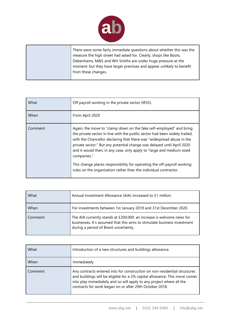

There were some fairly immediate questions about whether this was the measure the high street had asked for. Clearly, shops like Boots, Debenhams, M&S and WH Smiths are under huge pressure at the moment: but they have larger premises and appear unlikely to benefit from these changes.

| What    | Off payroll working in the private sector (IR35).                                                                                                                                                                                                                                                                                                                                                                                                                       |
|---------|-------------------------------------------------------------------------------------------------------------------------------------------------------------------------------------------------------------------------------------------------------------------------------------------------------------------------------------------------------------------------------------------------------------------------------------------------------------------------|
| When    | From April 2020                                                                                                                                                                                                                                                                                                                                                                                                                                                         |
| Comment | Again, the move to "clamp down on the fake self-employed" and bring<br>the private sector in line with the public sector had been widely trailed,<br>with the Chancellor declaring that there was "widespread abuse in the<br>private sector." But any potential change was delayed until April 2020<br>and it would then, in any case, only apply to "large and medium sized<br>companies."<br>This change places responsibility for operating the off-payroll working |
|         | rules on the organisation rather than the individual contractor.                                                                                                                                                                                                                                                                                                                                                                                                        |

| What    | Annual Investment Allowance (AIA) increased to £1 million.                                                                                                                                  |
|---------|---------------------------------------------------------------------------------------------------------------------------------------------------------------------------------------------|
| When    | For investments between 1st January 2019 and 31st December 2020.                                                                                                                            |
| Comment | The AIA currently stands at £200,000: an increase is welcome news for<br>businesses. It's assumed that this aims to stimulate business investment<br>during a period of Brexit uncertainty. |

| What    | Introduction of a new structures and buildings allowance.                                                                                                                                                                                                                                  |
|---------|--------------------------------------------------------------------------------------------------------------------------------------------------------------------------------------------------------------------------------------------------------------------------------------------|
| When    | Immediately                                                                                                                                                                                                                                                                                |
| Comment | Any contracts entered into for construction on non-residential structures<br>and buildings will be eligible for a 2% capital allowance. This move comes<br>into play immediately and so will apply to any project where all the<br>contracts for work began on or after 29th October 2018. |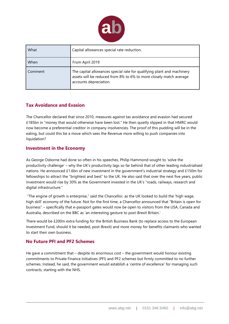

| What    | Capital allowances special rate reduction.                                                                                                                             |
|---------|------------------------------------------------------------------------------------------------------------------------------------------------------------------------|
| When    | From April 2019                                                                                                                                                        |
| Comment | The capital allowances special rate for qualifying plant and machinery<br>assets will be reduced from 8% to 6% to more closely match average<br>accounts depreciation. |

#### **Tax Avoidance and Evasion**

The Chancellor declared that since 2010, measures against tax avoidance and evasion had secured £185bn in "money that would otherwise have been lost." He then quietly slipped in that HMRC would now become a preferential creditor in company insolvencies. The proof of this pudding will be in the eating, but could this be a move which sees the Revenue more willing to push companies into liquidation?

#### **Investment in the Economy**

As George Osborne had done so often in his speeches, Philip Hammond sought to 'solve the productivity challenge' – why the UK's productivity lags so far behind that of other leading industrialised nations. He announced £1.6bn of new investment in the government's industrial strategy and £150m for fellowships to attract the "brightest and best" to the UK. He also said that over the next five years, public investment would rise by 30% as the Government invested in the UK's "roads, railways, research and digital infrastructure."

"The engine of growth is enterprise," said the Chancellor, as the UK looked to build the 'high wage, high skill' economy of the future. Not for the first time, a Chancellor announced that "Britain is open for business" – specifically that e-passport gates would now be open to visitors from the USA, Canada and Australia, described on the BBC as 'an interesting gesture to post-Brexit Britain.'

There would be £200m extra funding for the British Business Bank (to replace access to the European Investment Fund, should it be needed, post-Brexit) and more money for benefits claimants who wanted to start their own business.

#### **No Future PFI and PF2 Schemes**

He gave a commitment that – despite its enormous cost – the government would honour existing commitments to Private Finance Initiatives (PFI) and PF2 schemes but firmly committed to no further schemes. Instead, he said, the government would establish a 'centre of excellence' for managing such contracts, starting with the NHS.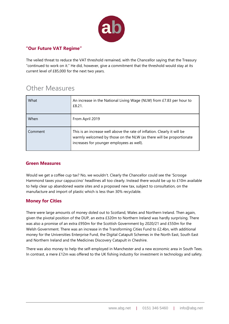

#### **"Our Future VAT Regime"**

The veiled threat to reduce the VAT threshold remained, with the Chancellor saying that the Treasury "continued to work on it." He did, however, give a commitment that the threshold would stay at its current level of £85,000 for the next two years.

### Other Measures

| What    | An increase in the National Living Wage (NLW) from £7.83 per hour to<br>£8.21.                                                                                                               |
|---------|----------------------------------------------------------------------------------------------------------------------------------------------------------------------------------------------|
| When    | From April 2019                                                                                                                                                                              |
| Comment | This is an increase well above the rate of inflation. Clearly it will be<br>warmly welcomed by those on the NLW (as there will be proportionate<br>increases for younger employees as well). |

#### **Green Measures**

Would we get a coffee cup tax? No, we wouldn't. Clearly the Chancellor could see the 'Scrooge Hammond taxes your cappuccino' headlines all too clearly. Instead there would be up to £10m available to help clear up abandoned waste sites and a proposed new tax, subject to consultation, on the manufacture and import of plastic which is less than 30% recyclable.

#### **Money for Cities**

There were large amounts of money doled out to Scotland, Wales and Northern Ireland. Then again, given the pivotal position of the DUP, an extra £320m to Northern Ireland was hardly surprising. There was also a promise of an extra £950m for the Scottish Government by 2020/21 and £550m for the Welsh Government. There was an increase in the Transforming Cities Fund to £2.4bn, with additional money for the Universities Enterprise Fund, the Digital Catapult Schemes in the North East, South East and Northern Ireland and the Medicines Discovery Catapult in Cheshire.

There was also money to help the self-employed in Manchester and a new economic area in South Tees. In contrast, a mere £12m was offered to the UK fishing industry for investment in technology and safety.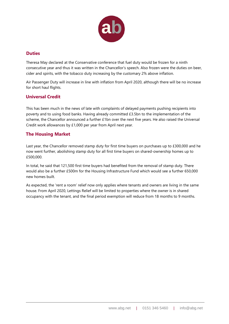

#### **Duties**

Theresa May declared at the Conservative conference that fuel duty would be frozen for a ninth consecutive year and thus it was written in the Chancellor's speech. Also frozen were the duties on beer, cider and spirits, with the tobacco duty increasing by the customary 2% above inflation.

Air Passenger Duty will increase in line with inflation from April 2020, although there will be no increase for short haul flights.

#### **Universal Credit**

This has been much in the news of late with complaints of delayed payments pushing recipients into poverty and to using food banks. Having already committed £3.5bn to the implementation of the scheme, the Chancellor announced a further £1bn over the next five years. He also raised the Universal Credit work allowances by £1,000 per year from April next year.

#### **The Housing Market**

Last year, the Chancellor removed stamp duty for first time buyers on purchases up to £300,000 and he now went further, abolishing stamp duty for all first time buyers on shared-ownership homes up to £500,000.

In total, he said that 121,500 first time buyers had benefited from the removal of stamp duty. There would also be a further £500m for the Housing Infrastructure Fund which would see a further 650,000 new homes built.

As expected, the 'rent a room' relief now only applies where tenants and owners are living in the same house. From April 2020, Lettings Relief will be limited to properties where the owner is in shared occupancy with the tenant, and the final period exemption will reduce from 18 months to 9 months.